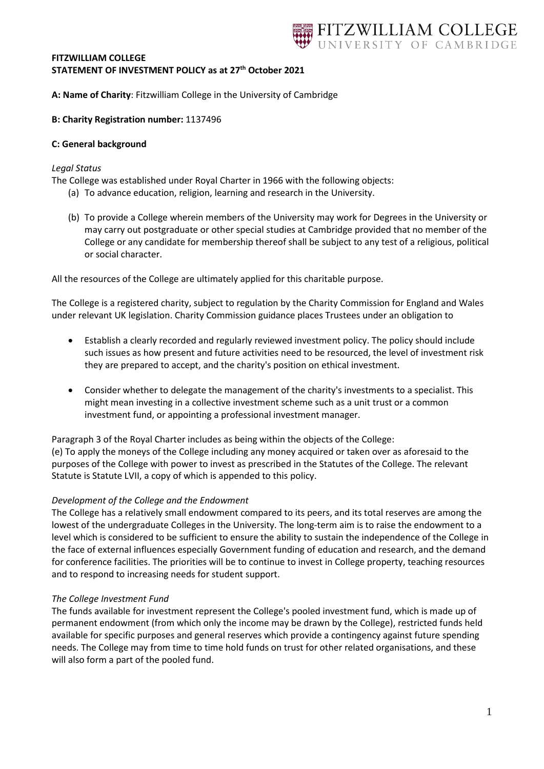# TZWILLIAM COLLEGE

#### **FITZWILLIAM COLLEGE STATEMENT OF INVESTMENT POLICY as at 27th October 2021**

**A: Name of Charity**: Fitzwilliam College in the University of Cambridge

#### **B: Charity Registration number:** 1137496

#### **C: General background**

#### *Legal Status*

The College was established under Royal Charter in 1966 with the following objects:

- (a) To advance education, religion, learning and research in the University.
- (b) To provide a College wherein members of the University may work for Degrees in the University or may carry out postgraduate or other special studies at Cambridge provided that no member of the College or any candidate for membership thereof shall be subject to any test of a religious, political or social character.

All the resources of the College are ultimately applied for this charitable purpose.

The College is a registered charity, subject to regulation by the Charity Commission for England and Wales under relevant UK legislation. Charity Commission guidance places Trustees under an obligation to

- Establish a clearly recorded and regularly reviewed investment policy. The policy should include such issues as how present and future activities need to be resourced, the level of investment risk they are prepared to accept, and the charity's position on ethical investment.
- Consider whether to delegate the management of the charity's investments to a specialist. This might mean investing in a collective investment scheme such as a unit trust or a common investment fund, or appointing a professional investment manager.

Paragraph 3 of the Royal Charter includes as being within the objects of the College: (e) To apply the moneys of the College including any money acquired or taken over as aforesaid to the purposes of the College with power to invest as prescribed in the Statutes of the College. The relevant Statute is Statute LVII, a copy of which is appended to this policy.

#### *Development of the College and the Endowment*

The College has a relatively small endowment compared to its peers, and its total reserves are among the lowest of the undergraduate Colleges in the University. The long-term aim is to raise the endowment to a level which is considered to be sufficient to ensure the ability to sustain the independence of the College in the face of external influences especially Government funding of education and research, and the demand for conference facilities. The priorities will be to continue to invest in College property, teaching resources and to respond to increasing needs for student support.

#### *The College Investment Fund*

The funds available for investment represent the College's pooled investment fund, which is made up of permanent endowment (from which only the income may be drawn by the College), restricted funds held available for specific purposes and general reserves which provide a contingency against future spending needs. The College may from time to time hold funds on trust for other related organisations, and these will also form a part of the pooled fund.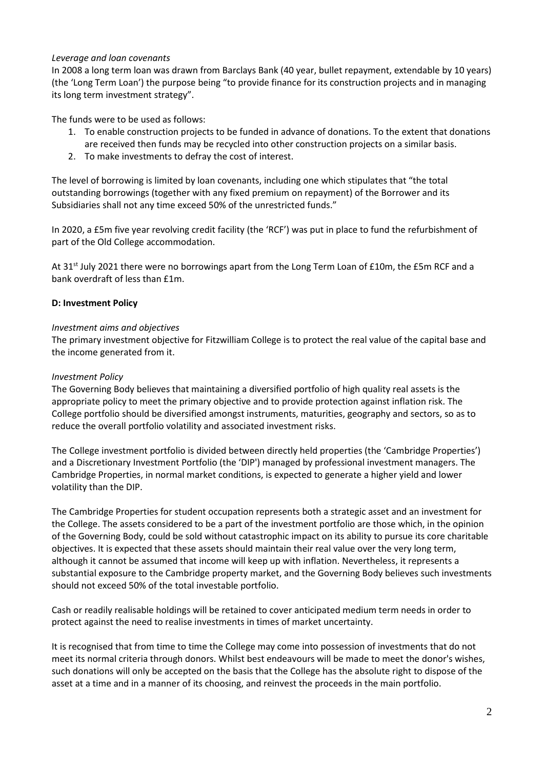#### *Leverage and loan covenants*

In 2008 a long term loan was drawn from Barclays Bank (40 year, bullet repayment, extendable by 10 years) (the 'Long Term Loan') the purpose being "to provide finance for its construction projects and in managing its long term investment strategy".

The funds were to be used as follows:

- 1. To enable construction projects to be funded in advance of donations. To the extent that donations are received then funds may be recycled into other construction projects on a similar basis.
- 2. To make investments to defray the cost of interest.

The level of borrowing is limited by loan covenants, including one which stipulates that "the total outstanding borrowings (together with any fixed premium on repayment) of the Borrower and its Subsidiaries shall not any time exceed 50% of the unrestricted funds."

In 2020, a £5m five year revolving credit facility (the 'RCF') was put in place to fund the refurbishment of part of the Old College accommodation.

At 31<sup>st</sup> July 2021 there were no borrowings apart from the Long Term Loan of £10m, the £5m RCF and a bank overdraft of less than £1m.

#### **D: Investment Policy**

#### *Investment aims and objectives*

The primary investment objective for Fitzwilliam College is to protect the real value of the capital base and the income generated from it.

#### *Investment Policy*

The Governing Body believes that maintaining a diversified portfolio of high quality real assets is the appropriate policy to meet the primary objective and to provide protection against inflation risk. The College portfolio should be diversified amongst instruments, maturities, geography and sectors, so as to reduce the overall portfolio volatility and associated investment risks.

The College investment portfolio is divided between directly held properties (the 'Cambridge Properties') and a Discretionary Investment Portfolio (the 'DIP') managed by professional investment managers. The Cambridge Properties, in normal market conditions, is expected to generate a higher yield and lower volatility than the DIP.

The Cambridge Properties for student occupation represents both a strategic asset and an investment for the College. The assets considered to be a part of the investment portfolio are those which, in the opinion of the Governing Body, could be sold without catastrophic impact on its ability to pursue its core charitable objectives. It is expected that these assets should maintain their real value over the very long term, although it cannot be assumed that income will keep up with inflation. Nevertheless, it represents a substantial exposure to the Cambridge property market, and the Governing Body believes such investments should not exceed 50% of the total investable portfolio.

Cash or readily realisable holdings will be retained to cover anticipated medium term needs in order to protect against the need to realise investments in times of market uncertainty.

It is recognised that from time to time the College may come into possession of investments that do not meet its normal criteria through donors. Whilst best endeavours will be made to meet the donor's wishes, such donations will only be accepted on the basis that the College has the absolute right to dispose of the asset at a time and in a manner of its choosing, and reinvest the proceeds in the main portfolio.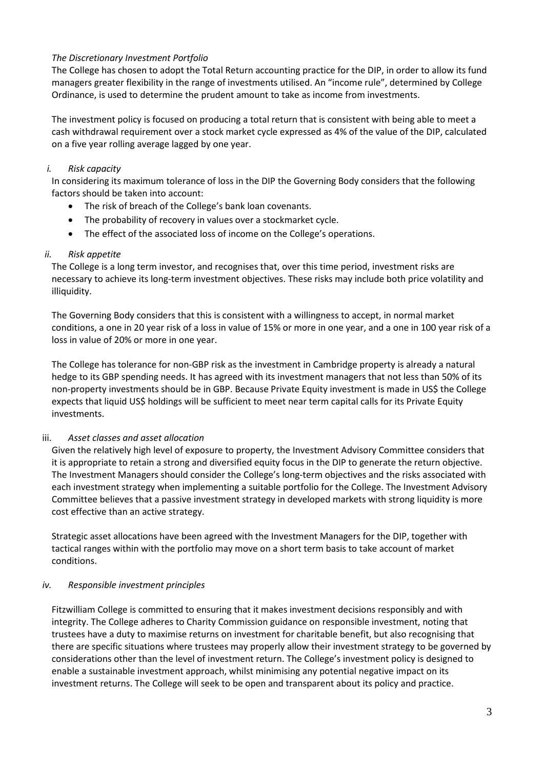## *The Discretionary Investment Portfolio*

The College has chosen to adopt the Total Return accounting practice for the DIP, in order to allow its fund managers greater flexibility in the range of investments utilised. An "income rule", determined by College Ordinance, is used to determine the prudent amount to take as income from investments.

The investment policy is focused on producing a total return that is consistent with being able to meet a cash withdrawal requirement over a stock market cycle expressed as 4% of the value of the DIP, calculated on a five year rolling average lagged by one year.

## *i. Risk capacity*

In considering its maximum tolerance of loss in the DIP the Governing Body considers that the following factors should be taken into account:

- The risk of breach of the College's bank loan covenants.
- The probability of recovery in values over a stockmarket cycle.
- The effect of the associated loss of income on the College's operations.

## *ii. Risk appetite*

The College is a long term investor, and recognises that, over this time period, investment risks are necessary to achieve its long-term investment objectives. These risks may include both price volatility and illiquidity.

The Governing Body considers that this is consistent with a willingness to accept, in normal market conditions, a one in 20 year risk of a loss in value of 15% or more in one year, and a one in 100 year risk of a loss in value of 20% or more in one year.

The College has tolerance for non-GBP risk as the investment in Cambridge property is already a natural hedge to its GBP spending needs. It has agreed with its investment managers that not less than 50% of its non-property investments should be in GBP. Because Private Equity investment is made in US\$ the College expects that liquid US\$ holdings will be sufficient to meet near term capital calls for its Private Equity investments.

#### iii. *Asset classes and asset allocation*

Given the relatively high level of exposure to property, the Investment Advisory Committee considers that it is appropriate to retain a strong and diversified equity focus in the DIP to generate the return objective. The Investment Managers should consider the College's long-term objectives and the risks associated with each investment strategy when implementing a suitable portfolio for the College. The Investment Advisory Committee believes that a passive investment strategy in developed markets with strong liquidity is more cost effective than an active strategy.

Strategic asset allocations have been agreed with the Investment Managers for the DIP, together with tactical ranges within with the portfolio may move on a short term basis to take account of market conditions.

#### *iv. Responsible investment principles*

Fitzwilliam College is committed to ensuring that it makes investment decisions responsibly and with integrity. The College adheres to Charity Commission guidance on responsible investment, noting that trustees have a duty to maximise returns on investment for charitable benefit, but also recognising that there are specific situations where trustees may properly allow their investment strategy to be governed by considerations other than the level of investment return. The College's investment policy is designed to enable a sustainable investment approach, whilst minimising any potential negative impact on its investment returns. The College will seek to be open and transparent about its policy and practice.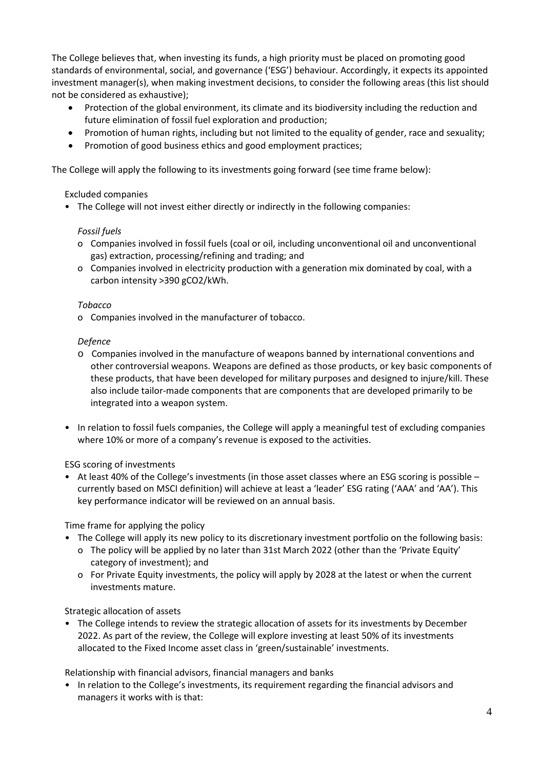The College believes that, when investing its funds, a high priority must be placed on promoting good standards of environmental, social, and governance ('ESG') behaviour. Accordingly, it expects its appointed investment manager(s), when making investment decisions, to consider the following areas (this list should not be considered as exhaustive);

- Protection of the global environment, its climate and its biodiversity including the reduction and future elimination of fossil fuel exploration and production;
- Promotion of human rights, including but not limited to the equality of gender, race and sexuality;
- Promotion of good business ethics and good employment practices;

The College will apply the following to its investments going forward (see time frame below):

#### Excluded companies

• The College will not invest either directly or indirectly in the following companies:

#### *Fossil fuels*

- o Companies involved in fossil fuels (coal or oil, including unconventional oil and unconventional gas) extraction, processing/refining and trading; and
- o Companies involved in electricity production with a generation mix dominated by coal, with a carbon intensity >390 gCO2/kWh.

#### *Tobacco*

o Companies involved in the manufacturer of tobacco.

#### *Defence*

- o Companies involved in the manufacture of weapons banned by international conventions and other controversial weapons. Weapons are defined as those products, or key basic components of these products, that have been developed for military purposes and designed to injure/kill. These also include tailor-made components that are components that are developed primarily to be integrated into a weapon system.
- In relation to fossil fuels companies, the College will apply a meaningful test of excluding companies where 10% or more of a company's revenue is exposed to the activities.

#### ESG scoring of investments

• At least 40% of the College's investments (in those asset classes where an ESG scoring is possible – currently based on MSCI definition) will achieve at least a 'leader' ESG rating ('AAA' and 'AA'). This key performance indicator will be reviewed on an annual basis.

Time frame for applying the policy

- The College will apply its new policy to its discretionary investment portfolio on the following basis:
	- o The policy will be applied by no later than 31st March 2022 (other than the 'Private Equity' category of investment); and
	- o For Private Equity investments, the policy will apply by 2028 at the latest or when the current investments mature.

#### Strategic allocation of assets

• The College intends to review the strategic allocation of assets for its investments by December 2022. As part of the review, the College will explore investing at least 50% of its investments allocated to the Fixed Income asset class in 'green/sustainable' investments.

Relationship with financial advisors, financial managers and banks

• In relation to the College's investments, its requirement regarding the financial advisors and managers it works with is that: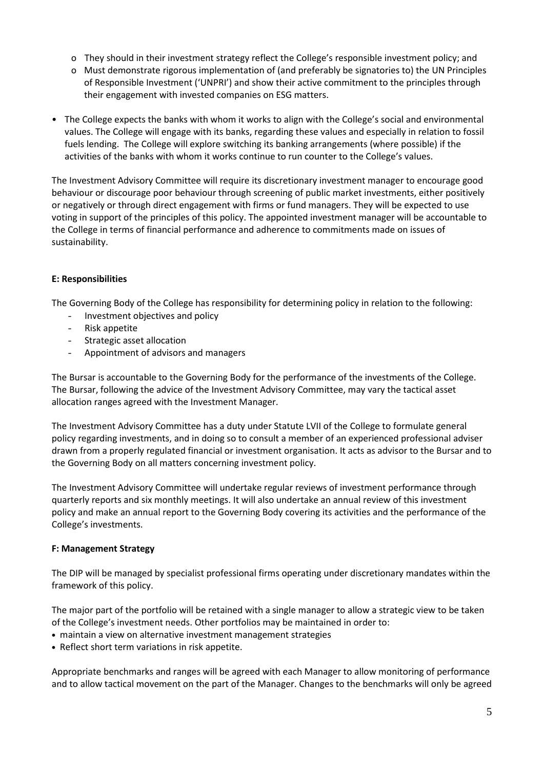- o They should in their investment strategy reflect the College's responsible investment policy; and
- o Must demonstrate rigorous implementation of (and preferably be signatories to) the UN Principles of Responsible Investment ('UNPRI') and show their active commitment to the principles through their engagement with invested companies on ESG matters.
- The College expects the banks with whom it works to align with the College's social and environmental values. The College will engage with its banks, regarding these values and especially in relation to fossil fuels lending. The College will explore switching its banking arrangements (where possible) if the activities of the banks with whom it works continue to run counter to the College's values.

The Investment Advisory Committee will require its discretionary investment manager to encourage good behaviour or discourage poor behaviour through screening of public market investments, either positively or negatively or through direct engagement with firms or fund managers. They will be expected to use voting in support of the principles of this policy. The appointed investment manager will be accountable to the College in terms of financial performance and adherence to commitments made on issues of sustainability.

## **E: Responsibilities**

The Governing Body of the College has responsibility for determining policy in relation to the following:

- Investment objectives and policy
- Risk appetite
- Strategic asset allocation
- Appointment of advisors and managers

The Bursar is accountable to the Governing Body for the performance of the investments of the College. The Bursar, following the advice of the Investment Advisory Committee, may vary the tactical asset allocation ranges agreed with the Investment Manager.

The Investment Advisory Committee has a duty under Statute LVII of the College to formulate general policy regarding investments, and in doing so to consult a member of an experienced professional adviser drawn from a properly regulated financial or investment organisation. It acts as advisor to the Bursar and to the Governing Body on all matters concerning investment policy.

The Investment Advisory Committee will undertake regular reviews of investment performance through quarterly reports and six monthly meetings. It will also undertake an annual review of this investment policy and make an annual report to the Governing Body covering its activities and the performance of the College's investments.

#### **F: Management Strategy**

The DIP will be managed by specialist professional firms operating under discretionary mandates within the framework of this policy.

The major part of the portfolio will be retained with a single manager to allow a strategic view to be taken of the College's investment needs. Other portfolios may be maintained in order to:

- maintain a view on alternative investment management strategies
- Reflect short term variations in risk appetite.

Appropriate benchmarks and ranges will be agreed with each Manager to allow monitoring of performance and to allow tactical movement on the part of the Manager. Changes to the benchmarks will only be agreed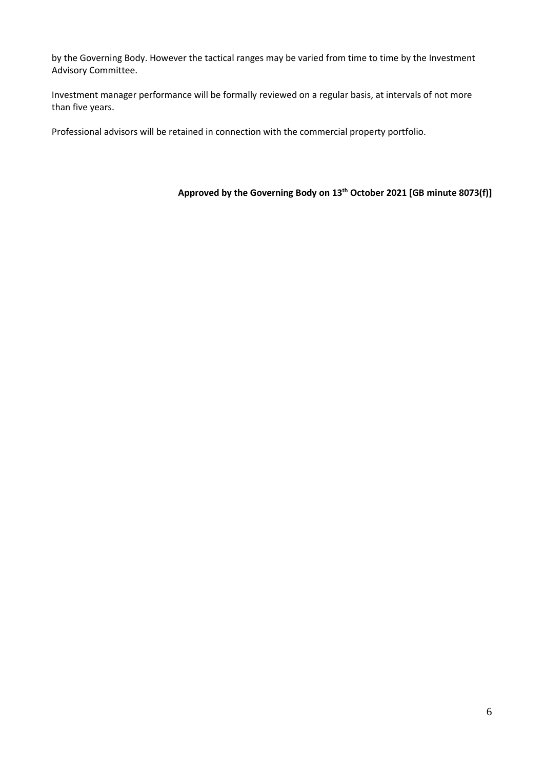by the Governing Body. However the tactical ranges may be varied from time to time by the Investment Advisory Committee.

Investment manager performance will be formally reviewed on a regular basis, at intervals of not more than five years.

Professional advisors will be retained in connection with the commercial property portfolio.

## **Approved by the Governing Body on 13th October 2021 [GB minute 8073(f)]**